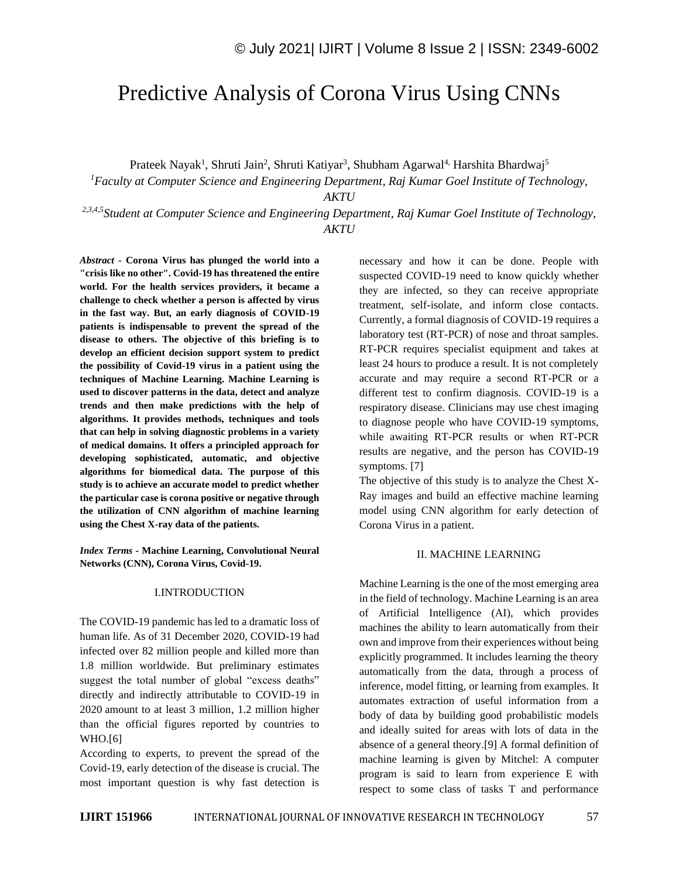# Predictive Analysis of Corona Virus Using CNNs

Prateek Nayak<sup>1</sup>, Shruti Jain<sup>2</sup>, Shruti Katiyar<sup>3</sup>, Shubham Agarwal<sup>4,</sup> Harshita Bhardwaj<sup>5</sup>

*<sup>1</sup>Faculty at Computer Science and Engineering Department, Raj Kumar Goel Institute of Technology,* 

*AKTU*

*2,3,4,5Student at Computer Science and Engineering Department, Raj Kumar Goel Institute of Technology, AKTU*

*Abstract -* **Corona Virus has plunged the world into a "crisis like no other". Covid-19 has threatened the entire world. For the health services providers, it became a challenge to check whether a person is affected by virus in the fast way. But, an early diagnosis of COVID-19 patients is indispensable to prevent the spread of the disease to others. The objective of this briefing is to develop an efficient decision support system to predict the possibility of Covid-19 virus in a patient using the techniques of Machine Learning. Machine Learning is used to discover patterns in the data, detect and analyze trends and then make predictions with the help of algorithms. It provides methods, techniques and tools that can help in solving diagnostic problems in a variety of medical domains. It offers a principled approach for developing sophisticated, automatic, and objective algorithms for biomedical data. The purpose of this study is to achieve an accurate model to predict whether the particular case is corona positive or negative through the utilization of CNN algorithm of machine learning using the Chest X-ray data of the patients.**

*Index Terms -* **Machine Learning, Convolutional Neural Networks (CNN), Corona Virus, Covid-19.**

# I.INTRODUCTION

The COVID-19 pandemic has led to a dramatic loss of human life. As of 31 December 2020, COVID-19 had infected over 82 million people and killed more than 1.8 million worldwide. But preliminary estimates suggest the total number of global "excess deaths" directly and indirectly attributable to COVID-19 in 2020 amount to at least 3 million, 1.2 million higher than the official figures reported by countries to WHO.[6]

According to experts, to prevent the spread of the Covid-19, early detection of the disease is crucial. The most important question is why fast detection is necessary and how it can be done. People with suspected COVID-19 need to know quickly whether they are infected, so they can receive appropriate treatment, self-isolate, and inform close contacts. Currently, a formal diagnosis of COVID-19 requires a laboratory test (RT-PCR) of nose and throat samples. RT-PCR requires specialist equipment and takes at least 24 hours to produce a result. It is not completely accurate and may require a second RT-PCR or a different test to confirm diagnosis. COVID-19 is a respiratory disease. Clinicians may use chest imaging to diagnose people who have COVID-19 symptoms, while awaiting RT-PCR results or when RT-PCR results are negative, and the person has COVID-19 symptoms. [7]

The objective of this study is to analyze the Chest X-Ray images and build an effective machine learning model using CNN algorithm for early detection of Corona Virus in a patient.

# II. MACHINE LEARNING

Machine Learning is the one of the most emerging area in the field of technology. Machine Learning is an area of Artificial Intelligence (AI), which provides machines the ability to learn automatically from their own and improve from their experiences without being explicitly programmed. It includes learning the theory automatically from the data, through a process of inference, model fitting, or learning from examples. It automates extraction of useful information from a body of data by building good probabilistic models and ideally suited for areas with lots of data in the absence of a general theory.[9] A formal definition of machine learning is given by Mitchel: A computer program is said to learn from experience E with respect to some class of tasks T and performance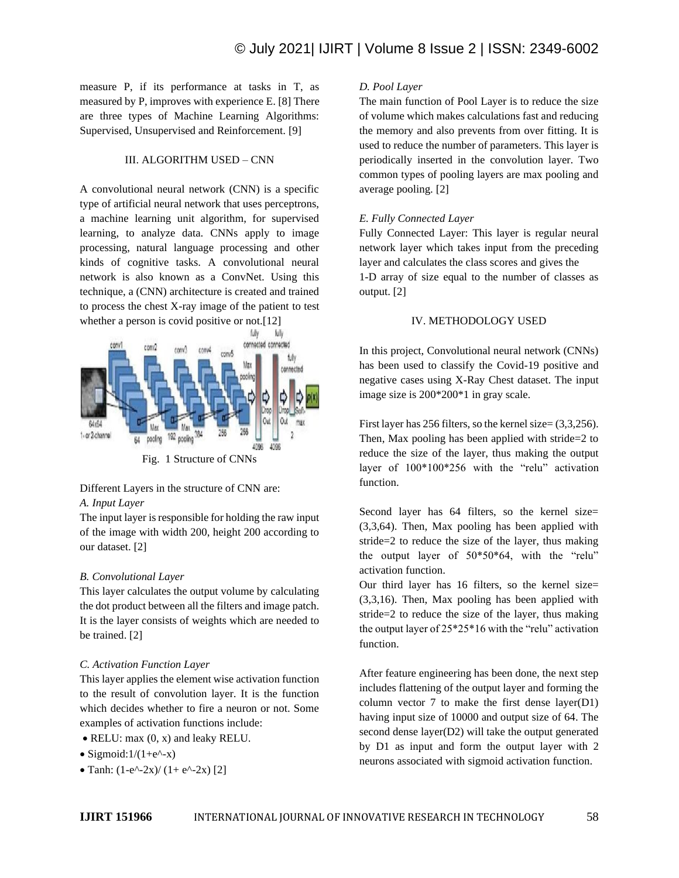measure P, if its performance at tasks in T, as measured by P, improves with experience E. [8] There are three types of Machine Learning Algorithms: Supervised, Unsupervised and Reinforcement. [9]

# III. ALGORITHM USED – CNN

A convolutional neural network (CNN) is a specific type of artificial neural network that uses perceptrons, a machine learning unit algorithm, for supervised learning, to analyze data. CNNs apply to image processing, natural language processing and other kinds of cognitive tasks. A convolutional neural network is also known as a ConvNet. Using this technique, a (CNN) architecture is created and trained to process the chest X-ray image of the patient to test whether a person is covid positive or not.[12]



# Different Layers in the structure of CNN are:

# *A. Input Layer*

The input layer is responsible for holding the raw input of the image with width 200, height 200 according to our dataset. [2]

# *B. Convolutional Layer*

This layer calculates the output volume by calculating the dot product between all the filters and image patch. It is the layer consists of weights which are needed to be trained. [2]

### *C. Activation Function Layer*

This layer applies the element wise activation function to the result of convolution layer. It is the function which decides whether to fire a neuron or not. Some examples of activation functions include:

- RELU: max  $(0, x)$  and leaky RELU.
- Sigmoid: $1/(1+e^{\lambda}-x)$
- Tanh:  $(1-e^{\lambda} 2x)/(1+e^{\lambda} 2x)$  [2]

# *D. Pool Layer*

The main function of Pool Layer is to reduce the size of volume which makes calculations fast and reducing the memory and also prevents from over fitting. It is used to reduce the number of parameters. This layer is periodically inserted in the convolution layer. Two common types of pooling layers are max pooling and average pooling. [2]

# *E. Fully Connected Layer*

Fully Connected Layer: This layer is regular neural network layer which takes input from the preceding layer and calculates the class scores and gives the 1-D array of size equal to the number of classes as output. [2]

### IV. METHODOLOGY USED

In this project, Convolutional neural network (CNNs) has been used to classify the Covid-19 positive and negative cases using X-Ray Chest dataset. The input image size is 200\*200\*1 in gray scale.

First layer has 256 filters, so the kernel size=  $(3,3,256)$ . Then, Max pooling has been applied with stride=2 to reduce the size of the layer, thus making the output layer of 100\*100\*256 with the "relu" activation function.

Second layer has 64 filters, so the kernel size= (3,3,64). Then, Max pooling has been applied with stride=2 to reduce the size of the layer, thus making the output layer of 50\*50\*64, with the "relu" activation function.

Our third layer has 16 filters, so the kernel size= (3,3,16). Then, Max pooling has been applied with stride=2 to reduce the size of the layer, thus making the output layer of 25\*25\*16 with the "relu" activation function.

After feature engineering has been done, the next step includes flattening of the output layer and forming the column vector 7 to make the first dense layer(D1) having input size of 10000 and output size of 64. The second dense layer(D2) will take the output generated by D1 as input and form the output layer with 2 neurons associated with sigmoid activation function.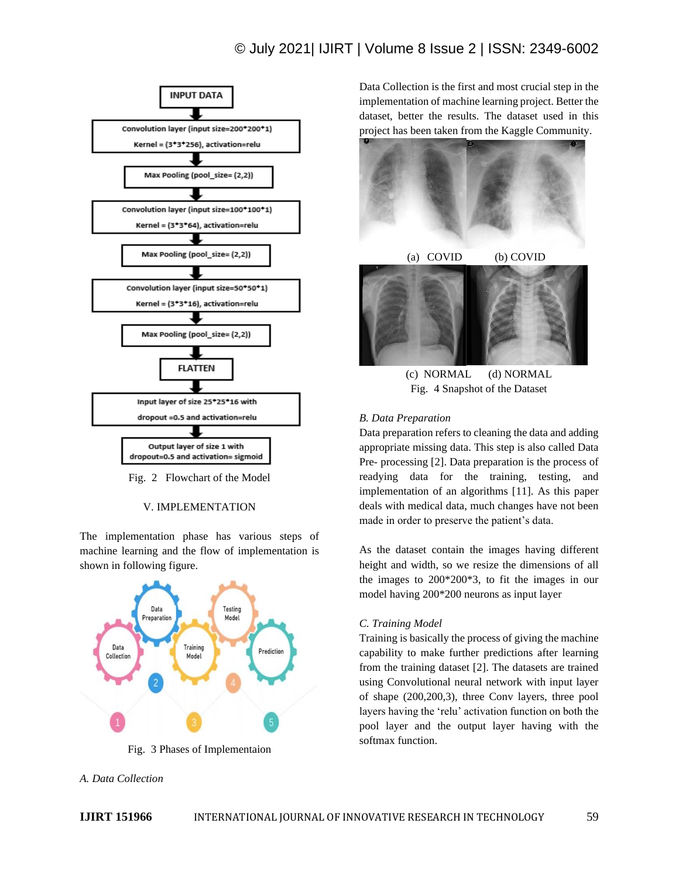# © July 2021| IJIRT | Volume 8 Issue 2 | ISSN: 2349-6002



Fig. 2 Flowchart of the Model

## V. IMPLEMENTATION

The implementation phase has various steps of machine learning and the flow of implementation is shown in following figure.



Fig. 3 Phases of Implementaion

Data Collection is the first and most crucial step in the implementation of machine learning project. Better the dataset, better the results. The dataset used in this project has been taken from the Kaggle Community.



(c) NORMAL (d) NORMAL Fig. 4 Snapshot of the Dataset

### *B. Data Preparation*

Data preparation refers to cleaning the data and adding appropriate missing data. This step is also called Data Pre- processing [2]. Data preparation is the process of readying data for the training, testing, and implementation of an algorithms [11]. As this paper deals with medical data, much changes have not been made in order to preserve the patient's data.

As the dataset contain the images having different height and width, so we resize the dimensions of all the images to 200\*200\*3, to fit the images in our model having 200\*200 neurons as input layer

### *C. Training Model*

Training is basically the process of giving the machine capability to make further predictions after learning from the training dataset [2]. The datasets are trained using Convolutional neural network with input layer of shape (200,200,3), three Conv layers, three pool layers having the 'relu' activation function on both the pool layer and the output layer having with the softmax function.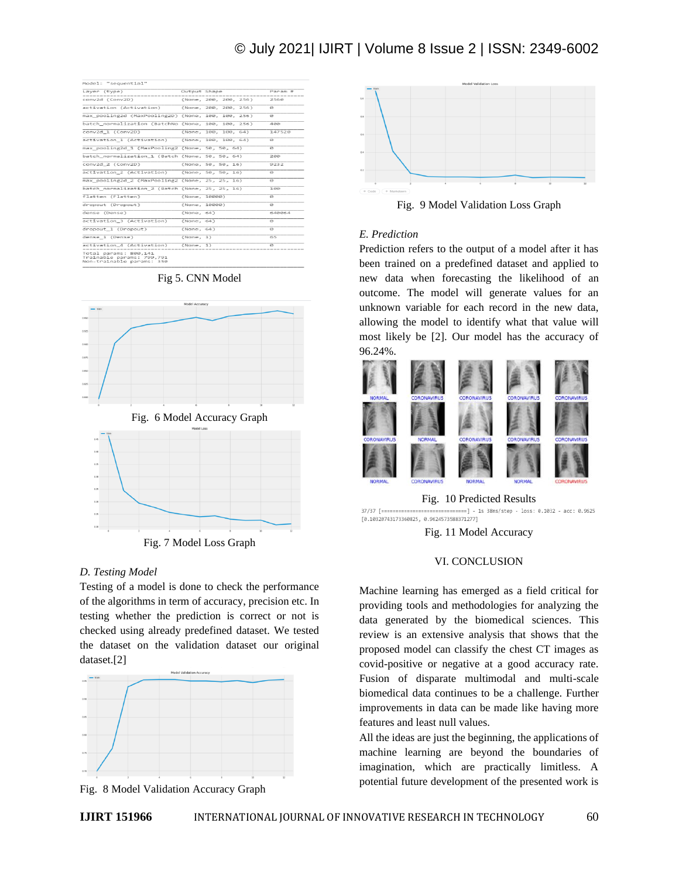# © July 2021| IJIRT | Volume 8 Issue 2 | ISSN: 2349-6002

| Model: "sequential"                                                             |              |                       |             |
|---------------------------------------------------------------------------------|--------------|-----------------------|-------------|
| Laver (type)                                                                    | Output Shape |                       | Param #     |
| conv2d (Conv2D)                                                                 |              | (None, 200, 200, 256) | 2560        |
| activation (Activation) (None, 200, 200, 256)                                   |              |                       | a           |
| max pooling2d (MaxPooling2D) (None, 100, 100, 256)                              |              |                       | ø           |
| batch normalization (BatchNo (None, 100, 100, 256)                              |              |                       | 488         |
| conv2d 1 (Conv2D)                                                               |              | (None, 100, 100, 64)  | 147520      |
| activation 1 (Activation) (None, 100, 100, 64)                                  |              |                       | ø           |
| max_pooling2d_1 (MaxPooling2 (None, 50, 50, 64)                                 |              |                       | G           |
| batch_normalization_1 (Batch (None, 50, 50, 64)                                 |              |                       | 280         |
| conv2d 2 (Conv2D)                                                               |              | (None, 50, 50, 16)    | 9232        |
| activation 2 (Activation) (None, 50, 50, 16)                                    |              |                       | e.          |
| max pooling2d 2 (MaxPooling2 (None, 25, 25, 16)                                 |              |                       | ø           |
| batch normalization 2 (Batch (None, 25, 25, 16)                                 |              |                       | 100         |
| flatten (Flatten)                                                               |              | (None, 10000)         | ø           |
| dropout (Dropout)                                                               |              | (None, 10000)         | G           |
| dense (Dense)                                                                   | (None, 64)   |                       | 640064      |
| activation_3 (Activation)                                                       | (None, 64)   |                       | G           |
| dropout 1 (Dropout)                                                             | (None, 64)   |                       | e           |
| dense 1 (Dense)                                                                 | (None, 1)    |                       | 65          |
| activation 4 (Activation)<br>-------------------------------                    | (None, 1)    |                       | $\varphi_1$ |
| Total params: 800,141<br>Trainable params: 799,791<br>Non-trainable params: 350 |              |                       |             |

Fig 5. CNN Model



### *D. Testing Model*

Testing of a model is done to check the performance of the algorithms in term of accuracy, precision etc. In testing whether the prediction is correct or not is checked using already predefined dataset. We tested the dataset on the validation dataset our original dataset.[2]



Fig. 8 Model Validation Accuracy Graph



Fig. 9 Model Validation Loss Graph

### *E. Prediction*

Prediction refers to the output of a model after it has been trained on a predefined dataset and applied to new data when forecasting the likelihood of an outcome. The model will generate values for an unknown variable for each record in the new data, allowing the model to identify what that value will most likely be [2]. Our model has the accuracy of 96.24%.



#### Fig. 10 Predicted Results

37/37 [==============================] - 1s 38ms/step - loss: 0.1032 - acc: 0.9625  $[0.10320743173360825, 0.9624573588371277]$ 

Fig. 11 Model Accuracy

### VI. CONCLUSION

Machine learning has emerged as a field critical for providing tools and methodologies for analyzing the data generated by the biomedical sciences. This review is an extensive analysis that shows that the proposed model can classify the chest CT images as covid-positive or negative at a good accuracy rate. Fusion of disparate multimodal and multi-scale biomedical data continues to be a challenge. Further improvements in data can be made like having more features and least null values.

All the ideas are just the beginning, the applications of machine learning are beyond the boundaries of imagination, which are practically limitless. A potential future development of the presented work is